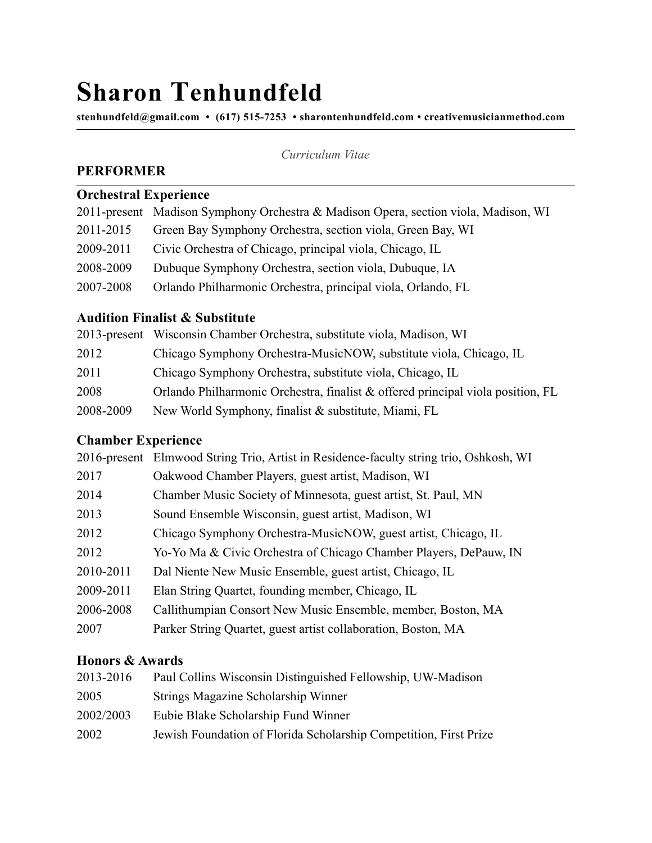# **Sharon Tenhundfeld**

**[stenhundfeld@gmail.com](mailto:stenhundfeld@gmail.com) • (617) 515-7253 • sharontenhundfeld.com • creativemusicianmethod.com** 

*Curriculum Vitae*

## **PERFORMER**

# **Orchestral Experience**

|           | 2011-present Madison Symphony Orchestra & Madison Opera, section viola, Madison, WI |
|-----------|-------------------------------------------------------------------------------------|
| 2011-2015 | Green Bay Symphony Orchestra, section viola, Green Bay, WI                          |
| 2009-2011 | Civic Orchestra of Chicago, principal viola, Chicago, IL                            |
| 2008-2009 | Dubuque Symphony Orchestra, section viola, Dubuque, IA                              |
| 2007-2008 | Orlando Philharmonic Orchestra, principal viola, Orlando, FL                        |
|           |                                                                                     |

## **Audition Finalist & Substitute**

|           | 2013-present Wisconsin Chamber Orchestra, substitute viola, Madison, WI            |
|-----------|------------------------------------------------------------------------------------|
| 2012      | Chicago Symphony Orchestra-MusicNOW, substitute viola, Chicago, IL                 |
| 2011      | Chicago Symphony Orchestra, substitute viola, Chicago, IL                          |
| 2008      | Orlando Philharmonic Orchestra, finalist $\&$ offered principal viola position, FL |
| 2008-2009 | New World Symphony, finalist & substitute, Miami, FL                               |

#### **Chamber Experience**

|           | 2016-present Elmwood String Trio, Artist in Residence-faculty string trio, Oshkosh, WI |
|-----------|----------------------------------------------------------------------------------------|
| 2017      | Oakwood Chamber Players, guest artist, Madison, WI                                     |
| 2014      | Chamber Music Society of Minnesota, guest artist, St. Paul, MN                         |
| 2013      | Sound Ensemble Wisconsin, guest artist, Madison, WI                                    |
| 2012      | Chicago Symphony Orchestra-MusicNOW, guest artist, Chicago, IL                         |
| 2012      | Yo-Yo Ma & Civic Orchestra of Chicago Chamber Players, DePauw, IN                      |
| 2010-2011 | Dal Niente New Music Ensemble, guest artist, Chicago, IL                               |
| 2009-2011 | Elan String Quartet, founding member, Chicago, IL                                      |
| 2006-2008 | Callithumpian Consort New Music Ensemble, member, Boston, MA                           |
| 2007      | Parker String Quartet, guest artist collaboration, Boston, MA                          |

### **Honors & Awards**

| Paul Collins Wisconsin Distinguished Fellowship, UW-Madison       |
|-------------------------------------------------------------------|
| Strings Magazine Scholarship Winner                               |
| Eubie Blake Scholarship Fund Winner                               |
| Jewish Foundation of Florida Scholarship Competition, First Prize |
|                                                                   |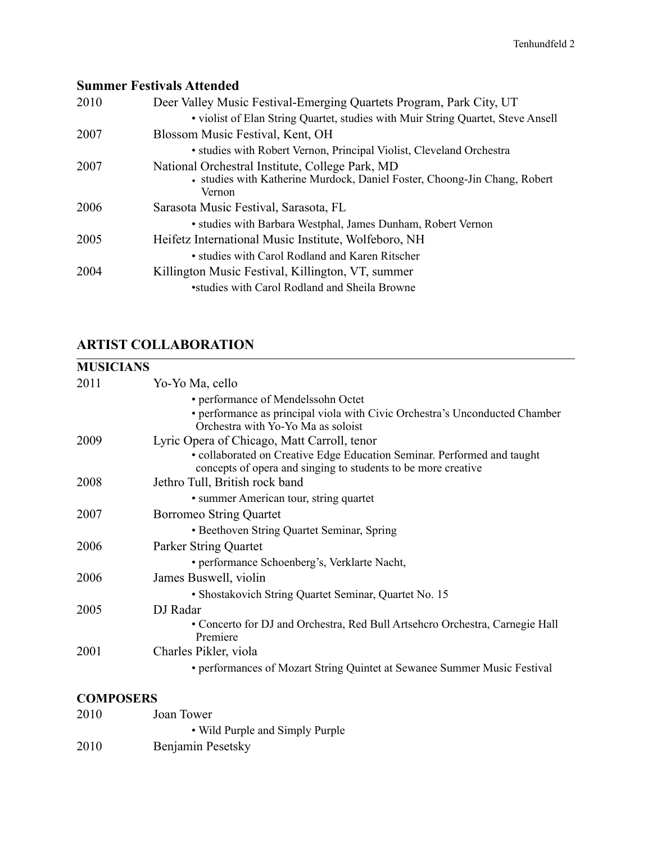# **Summer Festivals Attended**

| 2010 | Deer Valley Music Festival-Emerging Quartets Program, Park City, UT                        |
|------|--------------------------------------------------------------------------------------------|
|      | . violist of Elan String Quartet, studies with Muir String Quartet, Steve Ansell           |
| 2007 | Blossom Music Festival, Kent, OH                                                           |
|      | • studies with Robert Vernon, Principal Violist, Cleveland Orchestra                       |
| 2007 | National Orchestral Institute, College Park, MD                                            |
|      | • studies with Katherine Murdock, Daniel Foster, Choong-Jin Chang, Robert<br><b>Vernon</b> |
| 2006 | Sarasota Music Festival, Sarasota, FL                                                      |
|      | • studies with Barbara Westphal, James Dunham, Robert Vernon                               |
| 2005 | Heifetz International Music Institute, Wolfeboro, NH                                       |
|      | • studies with Carol Rodland and Karen Ritscher                                            |
| 2004 | Killington Music Festival, Killington, VT, summer                                          |
|      | •studies with Carol Rodland and Sheila Browne                                              |

# **ARTIST COLLABORATION**

| <b>MUSICIANS</b> |                                                                                                                                          |
|------------------|------------------------------------------------------------------------------------------------------------------------------------------|
| 2011             | Yo-Yo Ma, cello                                                                                                                          |
|                  | • performance of Mendelssohn Octet                                                                                                       |
|                  | • performance as principal viola with Civic Orchestra's Unconducted Chamber<br>Orchestra with Yo-Yo Ma as soloist                        |
| 2009             | Lyric Opera of Chicago, Matt Carroll, tenor                                                                                              |
|                  | • collaborated on Creative Edge Education Seminar. Performed and taught<br>concepts of opera and singing to students to be more creative |
| 2008             | Jethro Tull, British rock band                                                                                                           |
|                  | • summer American tour, string quartet                                                                                                   |
| 2007             | <b>Borromeo String Quartet</b>                                                                                                           |
|                  | • Beethoven String Quartet Seminar, Spring                                                                                               |
| 2006             | Parker String Quartet                                                                                                                    |
|                  | • performance Schoenberg's, Verklarte Nacht,                                                                                             |
| 2006             | James Buswell, violin                                                                                                                    |
|                  | • Shostakovich String Quartet Seminar, Quartet No. 15                                                                                    |
| 2005             | DJ Radar                                                                                                                                 |
|                  | • Concerto for DJ and Orchestra, Red Bull Artsehero Orchestra, Carnegie Hall<br>Premiere                                                 |
| 2001             | Charles Pikler, viola                                                                                                                    |
|                  | • performances of Mozart String Quintet at Sewanee Summer Music Festival                                                                 |
| <b>COMPOSERS</b> |                                                                                                                                          |

#### **COMP** Joan Tower • Wild Purple and Simply Purple 2010 Benjamin Pesetsky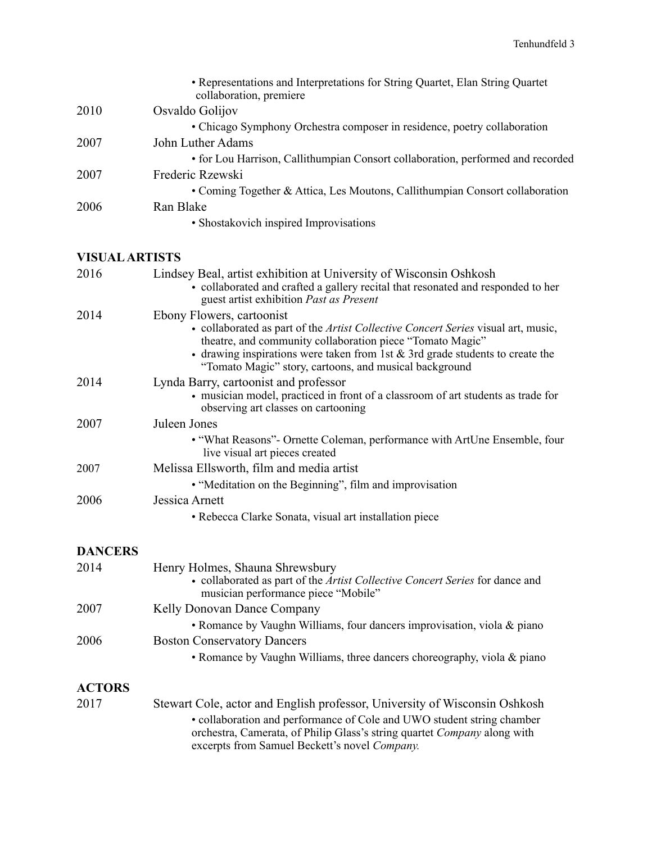|                       | • Representations and Interpretations for String Quartet, Elan String Quartet<br>collaboration, premiere                                                                                                                                                                                                                       |
|-----------------------|--------------------------------------------------------------------------------------------------------------------------------------------------------------------------------------------------------------------------------------------------------------------------------------------------------------------------------|
| 2010                  | Osvaldo Golijov                                                                                                                                                                                                                                                                                                                |
|                       | • Chicago Symphony Orchestra composer in residence, poetry collaboration                                                                                                                                                                                                                                                       |
| 2007                  | John Luther Adams                                                                                                                                                                                                                                                                                                              |
|                       | • for Lou Harrison, Callithumpian Consort collaboration, performed and recorded                                                                                                                                                                                                                                                |
| 2007                  | Frederic Rzewski                                                                                                                                                                                                                                                                                                               |
|                       | • Coming Together & Attica, Les Moutons, Callithumpian Consort collaboration                                                                                                                                                                                                                                                   |
| 2006                  | Ran Blake                                                                                                                                                                                                                                                                                                                      |
|                       | • Shostakovich inspired Improvisations                                                                                                                                                                                                                                                                                         |
|                       |                                                                                                                                                                                                                                                                                                                                |
| <b>VISUAL ARTISTS</b> |                                                                                                                                                                                                                                                                                                                                |
| 2016                  | Lindsey Beal, artist exhibition at University of Wisconsin Oshkosh<br>· collaborated and crafted a gallery recital that resonated and responded to her<br>guest artist exhibition Past as Present                                                                                                                              |
| 2014                  | Ebony Flowers, cartoonist<br>• collaborated as part of the Artist Collective Concert Series visual art, music,<br>theatre, and community collaboration piece "Tomato Magic"<br>$\bullet$ drawing inspirations were taken from 1st & 3rd grade students to create the<br>"Tomato Magic" story, cartoons, and musical background |
| 2014                  | Lynda Barry, cartoonist and professor<br>• musician model, practiced in front of a classroom of art students as trade for<br>observing art classes on cartooning                                                                                                                                                               |
| 2007                  | Juleen Jones                                                                                                                                                                                                                                                                                                                   |
|                       | • "What Reasons" - Ornette Coleman, performance with ArtUne Ensemble, four<br>live visual art pieces created                                                                                                                                                                                                                   |
| 2007                  | Melissa Ellsworth, film and media artist                                                                                                                                                                                                                                                                                       |
|                       | • "Meditation on the Beginning", film and improvisation                                                                                                                                                                                                                                                                        |
| 2006                  | Jessica Arnett                                                                                                                                                                                                                                                                                                                 |
|                       | • Rebecca Clarke Sonata, visual art installation piece                                                                                                                                                                                                                                                                         |
| <b>DANCERS</b>        |                                                                                                                                                                                                                                                                                                                                |
| 2014                  | Henry Holmes, Shauna Shrewsbury<br>• collaborated as part of the Artist Collective Concert Series for dance and<br>musician performance piece "Mobile"                                                                                                                                                                         |
| 2007                  | Kelly Donovan Dance Company                                                                                                                                                                                                                                                                                                    |
|                       | • Romance by Vaughn Williams, four dancers improvisation, viola & piano                                                                                                                                                                                                                                                        |
| 2006                  | <b>Boston Conservatory Dancers</b>                                                                                                                                                                                                                                                                                             |
|                       | • Romance by Vaughn Williams, three dancers choreography, viola & piano                                                                                                                                                                                                                                                        |
|                       |                                                                                                                                                                                                                                                                                                                                |
| <b>ACTORS</b>         |                                                                                                                                                                                                                                                                                                                                |
| 2017                  | Stewart Cole, actor and English professor, University of Wisconsin Oshkosh                                                                                                                                                                                                                                                     |
|                       | · collaboration and performance of Cole and UWO student string chamber<br>orchestra, Camerata, of Philip Glass's string quartet Company along with<br>excerpts from Samuel Beckett's novel Company.                                                                                                                            |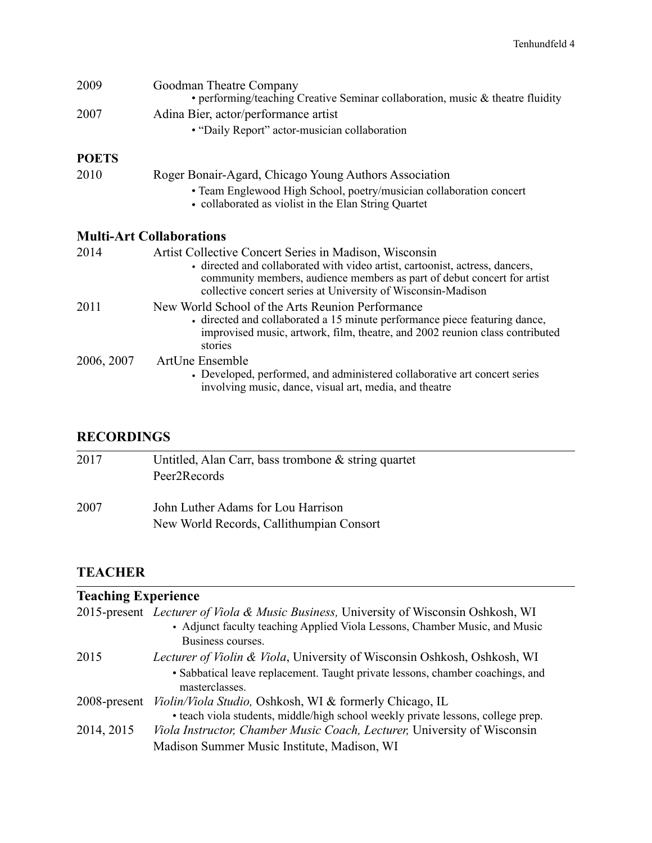| 2009         | Goodman Theatre Company<br>• performing/teaching Creative Seminar collaboration, music $\&$ theatre fluidity                                                                                                                                                                      |
|--------------|-----------------------------------------------------------------------------------------------------------------------------------------------------------------------------------------------------------------------------------------------------------------------------------|
| 2007         | Adina Bier, actor/performance artist<br>• "Daily Report" actor-musician collaboration                                                                                                                                                                                             |
| <b>POETS</b> |                                                                                                                                                                                                                                                                                   |
| 2010         | Roger Bonair-Agard, Chicago Young Authors Association                                                                                                                                                                                                                             |
|              | • Team Englewood High School, poetry/musician collaboration concert<br>• collaborated as violist in the Elan String Quartet                                                                                                                                                       |
|              | <b>Multi-Art Collaborations</b>                                                                                                                                                                                                                                                   |
| 2014         | Artist Collective Concert Series in Madison, Wisconsin<br>• directed and collaborated with video artist, cartoonist, actress, dancers,<br>community members, audience members as part of debut concert for artist<br>collective concert series at University of Wisconsin-Madison |
| 2011         | New World School of the Arts Reunion Performance<br>• directed and collaborated a 15 minute performance piece featuring dance,<br>improvised music, artwork, film, theatre, and 2002 reunion class contributed<br>stories                                                         |
| 2006, 2007   | <b>ArtUne Ensemble</b><br>• Developed, performed, and administered collaborative art concert series<br>involving music, dance, visual art, media, and theatre                                                                                                                     |

# **RECORDINGS**

| 2017 | Untitled, Alan Carr, bass trombone $\&$ string quartet<br>Peer2Records         |
|------|--------------------------------------------------------------------------------|
| 2007 | John Luther Adams for Lou Harrison<br>New World Records, Callithumpian Consort |

# **TEACHER**

| <b>Teaching Experience</b> |                                                                                                                                                                                         |
|----------------------------|-----------------------------------------------------------------------------------------------------------------------------------------------------------------------------------------|
|                            | 2015-present Lecturer of Viola & Music Business, University of Wisconsin Oshkosh, WI<br>• Adjunct faculty teaching Applied Viola Lessons, Chamber Music, and Music<br>Business courses. |
| 2015                       | Lecturer of Violin & Viola, University of Wisconsin Oshkosh, Oshkosh, WI<br>• Sabbatical leave replacement. Taught private lessons, chamber coachings, and<br>masterclasses.            |
| 2008-present               | Violin/Viola Studio, Oshkosh, WI & formerly Chicago, IL<br>• teach viola students, middle/high school weekly private lessons, college prep.                                             |
| 2014, 2015                 | Viola Instructor, Chamber Music Coach, Lecturer, University of Wisconsin<br>Madison Summer Music Institute, Madison, WI                                                                 |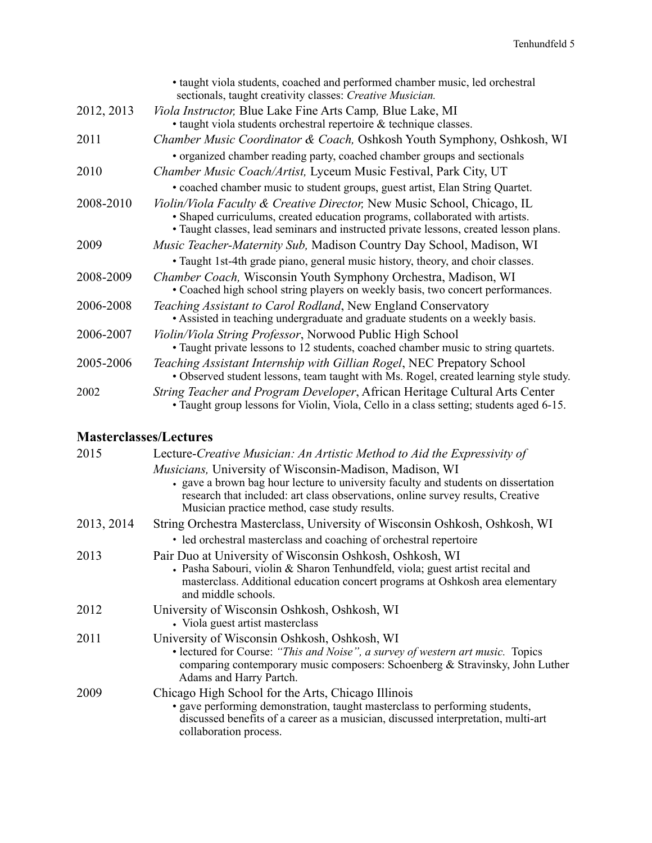|            | • taught viola students, coached and performed chamber music, led orchestral<br>sectionals, taught creativity classes: Creative Musician.                                                                                                        |
|------------|--------------------------------------------------------------------------------------------------------------------------------------------------------------------------------------------------------------------------------------------------|
| 2012, 2013 | <i>Viola Instructor</i> ; Blue Lake Fine Arts Camp, Blue Lake, MI<br>• taught viola students orchestral repertoire & technique classes.                                                                                                          |
| 2011       | Chamber Music Coordinator & Coach, Oshkosh Youth Symphony, Oshkosh, WI                                                                                                                                                                           |
| 2010       | • organized chamber reading party, coached chamber groups and sectionals<br>Chamber Music Coach/Artist, Lyceum Music Festival, Park City, UT                                                                                                     |
|            | • coached chamber music to student groups, guest artist, Elan String Quartet.                                                                                                                                                                    |
| 2008-2010  | Violin/Viola Faculty & Creative Director, New Music School, Chicago, IL<br>• Shaped curriculums, created education programs, collaborated with artists.<br>• Taught classes, lead seminars and instructed private lessons, created lesson plans. |
| 2009       | <i>Music Teacher-Maternity Sub, Madison Country Day School, Madison, WI</i>                                                                                                                                                                      |
|            | · Taught 1st-4th grade piano, general music history, theory, and choir classes.                                                                                                                                                                  |
| 2008-2009  | Chamber Coach, Wisconsin Youth Symphony Orchestra, Madison, WI<br>• Coached high school string players on weekly basis, two concert performances.                                                                                                |
| 2006-2008  | Teaching Assistant to Carol Rodland, New England Conservatory<br>• Assisted in teaching undergraduate and graduate students on a weekly basis.                                                                                                   |
| 2006-2007  | Violin/Viola String Professor, Norwood Public High School<br>• Taught private lessons to 12 students, coached chamber music to string quartets.                                                                                                  |
| 2005-2006  | Teaching Assistant Internship with Gillian Rogel, NEC Prepatory School<br>• Observed student lessons, team taught with Ms. Rogel, created learning style study.                                                                                  |
| 2002       | String Teacher and Program Developer, African Heritage Cultural Arts Center<br>· Taught group lessons for Violin, Viola, Cello in a class setting; students aged 6-15.                                                                           |

# **Masterclasses/Lectures**

| 2015       | Lecture-Creative Musician: An Artistic Method to Aid the Expressivity of                                                                                                                                                                                                                  |
|------------|-------------------------------------------------------------------------------------------------------------------------------------------------------------------------------------------------------------------------------------------------------------------------------------------|
|            | <i>Musicians</i> , University of Wisconsin-Madison, Madison, WI<br>• gave a brown bag hour lecture to university faculty and students on dissertation<br>research that included: art class observations, online survey results, Creative<br>Musician practice method, case study results. |
| 2013, 2014 | String Orchestra Masterclass, University of Wisconsin Oshkosh, Oshkosh, WI                                                                                                                                                                                                                |
|            | • led orchestral masterclass and coaching of orchestral repertoire                                                                                                                                                                                                                        |
| 2013       | Pair Duo at University of Wisconsin Oshkosh, Oshkosh, WI<br>• Pasha Sabouri, violin & Sharon Tenhundfeld, viola; guest artist recital and<br>masterclass. Additional education concert programs at Oshkosh area elementary<br>and middle schools.                                         |
| 2012       | University of Wisconsin Oshkosh, Oshkosh, WI<br>• Viola guest artist master class                                                                                                                                                                                                         |
| 2011       | University of Wisconsin Oshkosh, Oshkosh, WI<br>• lectured for Course: "This and Noise", a survey of western art music. Topics<br>comparing contemporary music composers: Schoenberg & Stravinsky, John Luther<br>Adams and Harry Partch.                                                 |
| 2009       | Chicago High School for the Arts, Chicago Illinois<br>· gave performing demonstration, taught masterclass to performing students,<br>discussed benefits of a career as a musician, discussed interpretation, multi-art<br>collaboration process.                                          |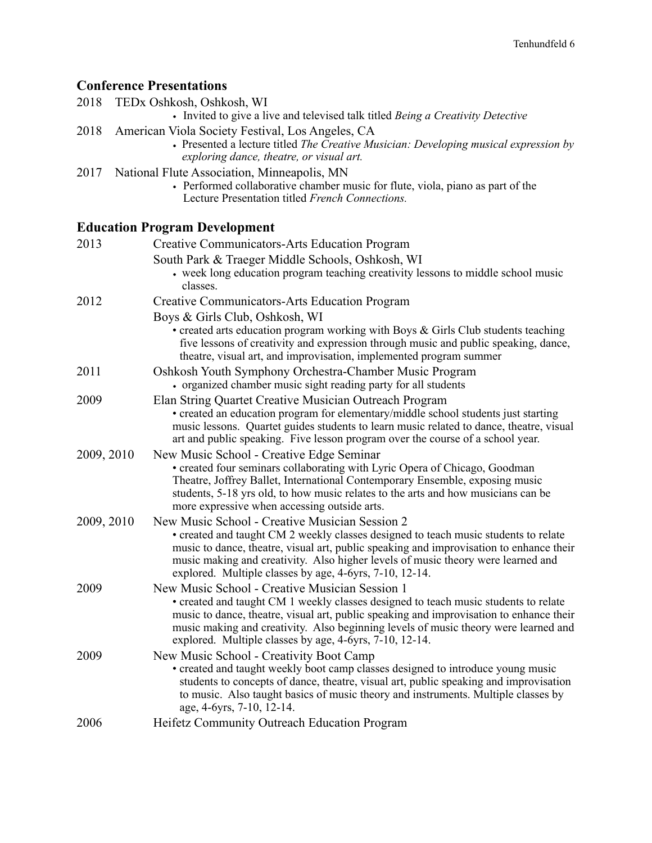# **Conference Presentations**

|            | <b>Conference Presentations</b>                                                                                                                                                                                                                                                                                                                                                    |
|------------|------------------------------------------------------------------------------------------------------------------------------------------------------------------------------------------------------------------------------------------------------------------------------------------------------------------------------------------------------------------------------------|
| 2018       | TEDx Oshkosh, Oshkosh, WI                                                                                                                                                                                                                                                                                                                                                          |
|            | • Invited to give a live and televised talk titled Being a Creativity Detective                                                                                                                                                                                                                                                                                                    |
| 2018       | American Viola Society Festival, Los Angeles, CA<br>• Presented a lecture titled The Creative Musician: Developing musical expression by<br>exploring dance, theatre, or visual art.                                                                                                                                                                                               |
| 2017       | National Flute Association, Minneapolis, MN<br>• Performed collaborative chamber music for flute, viola, piano as part of the<br>Lecture Presentation titled French Connections.                                                                                                                                                                                                   |
|            | <b>Education Program Development</b>                                                                                                                                                                                                                                                                                                                                               |
| 2013       | Creative Communicators-Arts Education Program                                                                                                                                                                                                                                                                                                                                      |
|            | South Park & Traeger Middle Schools, Oshkosh, WI<br>• week long education program teaching creativity lessons to middle school music<br>classes.                                                                                                                                                                                                                                   |
| 2012       | Creative Communicators-Arts Education Program                                                                                                                                                                                                                                                                                                                                      |
|            | Boys & Girls Club, Oshkosh, WI<br>$\bullet$ created arts education program working with Boys & Girls Club students teaching<br>five lessons of creativity and expression through music and public speaking, dance,<br>theatre, visual art, and improvisation, implemented program summer                                                                                           |
| 2011       | Oshkosh Youth Symphony Orchestra-Chamber Music Program<br>• organized chamber music sight reading party for all students                                                                                                                                                                                                                                                           |
| 2009       | Elan String Quartet Creative Musician Outreach Program<br>• created an education program for elementary/middle school students just starting<br>music lessons. Quartet guides students to learn music related to dance, theatre, visual<br>art and public speaking. Five lesson program over the course of a school year.                                                          |
| 2009, 2010 | New Music School - Creative Edge Seminar<br>· created four seminars collaborating with Lyric Opera of Chicago, Goodman<br>Theatre, Joffrey Ballet, International Contemporary Ensemble, exposing music<br>students, 5-18 yrs old, to how music relates to the arts and how musicians can be<br>more expressive when accessing outside arts.                                        |
| 2009, 2010 | New Music School - Creative Musician Session 2<br>• created and taught CM 2 weekly classes designed to teach music students to relate<br>music to dance, theatre, visual art, public speaking and improvisation to enhance their<br>music making and creativity. Also higher levels of music theory were learned and<br>explored. Multiple classes by age, 4-6yrs, 7-10, 12-14.    |
| 2009       | New Music School - Creative Musician Session 1<br>• created and taught CM 1 weekly classes designed to teach music students to relate<br>music to dance, theatre, visual art, public speaking and improvisation to enhance their<br>music making and creativity. Also beginning levels of music theory were learned and<br>explored. Multiple classes by age, 4-6yrs, 7-10, 12-14. |
| 2009       | New Music School - Creativity Boot Camp<br>• created and taught weekly boot camp classes designed to introduce young music<br>students to concepts of dance, theatre, visual art, public speaking and improvisation<br>to music. Also taught basics of music theory and instruments. Multiple classes by<br>age, 4-6yrs, 7-10, 12-14.                                              |
| 2006       | Heifetz Community Outreach Education Program                                                                                                                                                                                                                                                                                                                                       |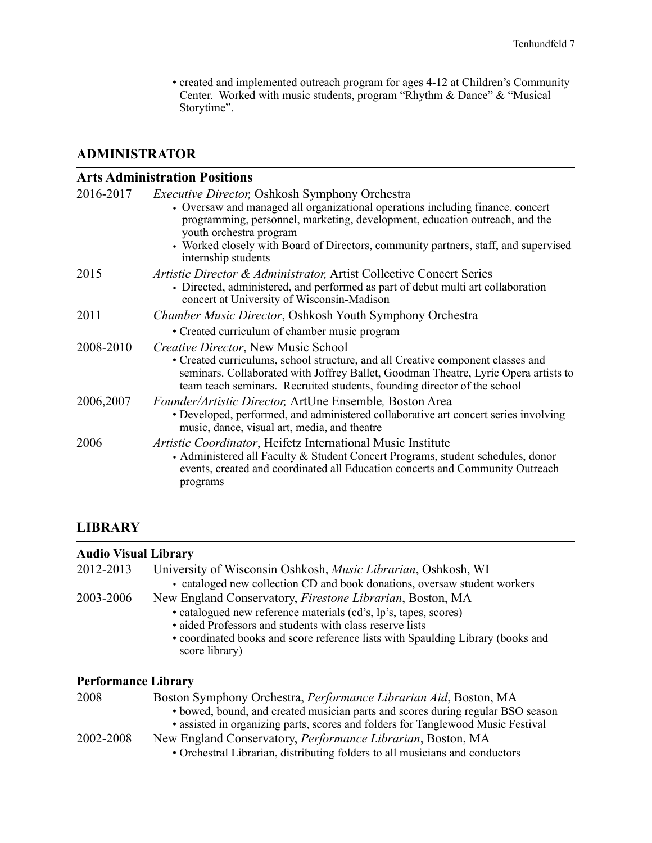• created and implemented outreach program for ages 4-12 at Children's Community Center. Worked with music students, program "Rhythm & Dance" & "Musical Storytime".

### **ADMINISTRATOR**

#### **Arts Administration Positions**

| <i>Executive Director, Oshkosh Symphony Orchestra</i><br>• Oversaw and managed all organizational operations including finance, concert<br>programming, personnel, marketing, development, education outreach, and the<br>youth orchestra program<br>• Worked closely with Board of Directors, community partners, staff, and supervised |
|------------------------------------------------------------------------------------------------------------------------------------------------------------------------------------------------------------------------------------------------------------------------------------------------------------------------------------------|
| internship students                                                                                                                                                                                                                                                                                                                      |
| Artistic Director & Administrator, Artist Collective Concert Series<br>• Directed, administered, and performed as part of debut multi art collaboration<br>concert at University of Wisconsin-Madison                                                                                                                                    |
| Chamber Music Director, Oshkosh Youth Symphony Orchestra                                                                                                                                                                                                                                                                                 |
| • Created curriculum of chamber music program                                                                                                                                                                                                                                                                                            |
| Creative Director, New Music School<br>• Created curriculums, school structure, and all Creative component classes and<br>seminars. Collaborated with Joffrey Ballet, Goodman Theatre, Lyric Opera artists to<br>team teach seminars. Recruited students, founding director of the school                                                |
| Founder/Artistic Director, ArtUne Ensemble, Boston Area<br>• Developed, performed, and administered collaborative art concert series involving<br>music, dance, visual art, media, and theatre                                                                                                                                           |
| <i>Artistic Coordinator</i> , Heifetz International Music Institute<br>• Administered all Faculty & Student Concert Programs, student schedules, donor<br>events, created and coordinated all Education concerts and Community Outreach<br>programs                                                                                      |
|                                                                                                                                                                                                                                                                                                                                          |

## **LIBRARY**

| Audio Visual Library       |                                                                                                                                                                                                                                         |
|----------------------------|-----------------------------------------------------------------------------------------------------------------------------------------------------------------------------------------------------------------------------------------|
| 2012-2013                  | University of Wisconsin Oshkosh, <i>Music Librarian</i> , Oshkosh, WI                                                                                                                                                                   |
|                            | • cataloged new collection CD and book donations, oversaw student workers                                                                                                                                                               |
| 2003-2006                  | New England Conservatory, <i>Firestone Librarian</i> , Boston, MA                                                                                                                                                                       |
|                            | • catalogued new reference materials (cd's, lp's, tapes, scores)                                                                                                                                                                        |
|                            | • aided Professors and students with class reserve lists                                                                                                                                                                                |
|                            | • coordinated books and score reference lists with Spaulding Library (books and<br>score library)                                                                                                                                       |
| <b>Performance Library</b> |                                                                                                                                                                                                                                         |
| 2008                       | Boston Symphony Orchestra, Performance Librarian Aid, Boston, MA<br>• bowed, bound, and created musician parts and scores during regular BSO season<br>• assisted in organizing parts, scores and folders for Tanglewood Music Festival |

- 2002-2008 New England Conservatory, *Performance Librarian*, Boston, MA
	- Orchestral Librarian, distributing folders to all musicians and conductors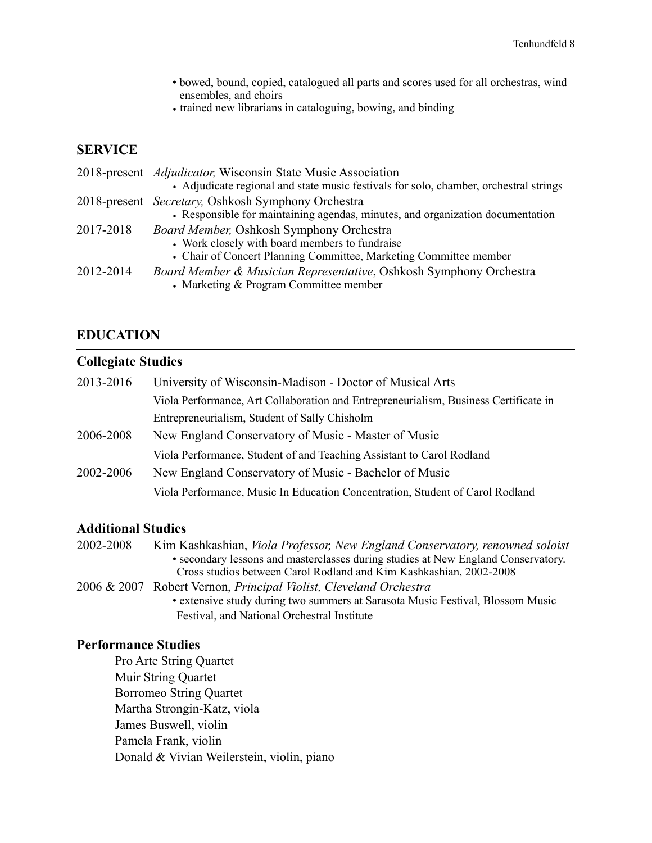- bowed, bound, copied, catalogued all parts and scores used for all orchestras, wind ensembles, and choirs
- **•** trained new librarians in cataloguing, bowing, and binding

#### **SERVICE**

|           | 2018-present <i>Adjudicator</i> , Wisconsin State Music Association<br>• Adjudicate regional and state music festivals for solo, chamber, orchestral strings           |
|-----------|------------------------------------------------------------------------------------------------------------------------------------------------------------------------|
|           | 2018-present <i>Secretary</i> , Oshkosh Symphony Orchestra<br>• Responsible for maintaining agendas, minutes, and organization documentation                           |
| 2017-2018 | <b>Board Member, Oshkosh Symphony Orchestra</b><br>• Work closely with board members to fundraise<br>• Chair of Concert Planning Committee, Marketing Committee member |
| 2012-2014 | Board Member & Musician Representative, Oshkosh Symphony Orchestra<br>• Marketing & Program Committee member                                                           |

#### **EDUCATION**

#### **Collegiate Studies**

| 2013-2016 | University of Wisconsin-Madison - Doctor of Musical Arts                             |
|-----------|--------------------------------------------------------------------------------------|
|           | Viola Performance, Art Collaboration and Entrepreneurialism, Business Certificate in |
|           | Entrepreneurialism, Student of Sally Chisholm                                        |
| 2006-2008 | New England Conservatory of Music - Master of Music                                  |
|           | Viola Performance, Student of and Teaching Assistant to Carol Rodland                |
| 2002-2006 | New England Conservatory of Music - Bachelor of Music                                |
|           | Viola Performance, Music In Education Concentration, Student of Carol Rodland        |

#### **Additional Studies**

2002-2008 Kim Kashkashian, *Viola Professor, New England Conservatory, renowned soloist* • secondary lessons and masterclasses during studies at New England Conservatory. Cross studios between Carol Rodland and Kim Kashkashian, 2002-2008 2006 & 2007 Robert Vernon, *Principal Violist, Cleveland Orchestra* • extensive study during two summers at Sarasota Music Festival, Blossom Music Festival, and National Orchestral Institute

#### **Performance Studies**

 Pro Arte String Quartet Muir String Quartet Borromeo String Quartet Martha Strongin-Katz, viola James Buswell, violin Pamela Frank, violin Donald & Vivian Weilerstein, violin, piano